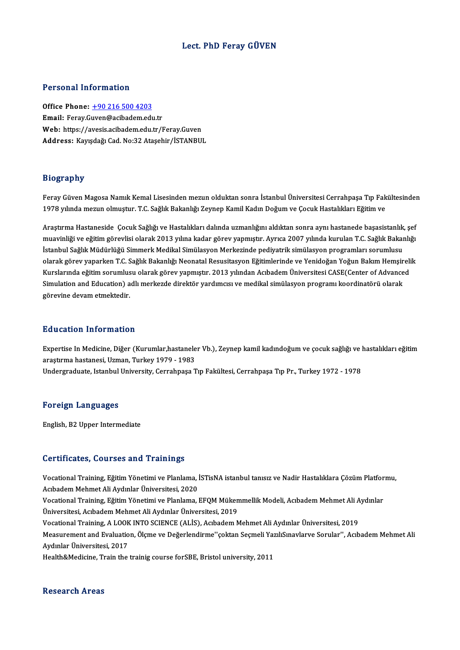## Lect. PhD Feray GÜVEN

### Personal Information

Office Phone: +90 216 500 4203 Email: Feray.G[uven@acibadem.edu](tel:+90 216 500 4203).tr Office Phone: <u>+90 216 500 4203</u><br>Email: Feray.Guven@acibadem.edu.tr<br>Web: https://avesis.acibadem.edu.tr/Feray.Guven<br>Addressy Kayndağı.Cod.No:22 Atasebir.(ISTANPUI Email: Feray.Guven@acibadem.edu.tr<br>Web: https://avesis.acibadem.edu.tr/Feray.Guven<br>Address: Kayışdağı Cad. No:32 Ataşehir/İSTANBUL

### Biography

Bi**ography**<br>Feray Güven Magosa Namık Kemal Lisesinden mezun olduktan sonra İstanbul Üniversitesi Cerrahpaşa Tıp Fakültesinden<br>1978 yılında mezun olmuştur. T.C. Sağlık Bakanlığı Zeynan Kamil Kadın Dağum ve Casuk Hastalıklar 21051 upar.<br>Feray Güven Magosa Namık Kemal Lisesinden mezun olduktan sonra İstanbul Üniversitesi Cerrahpaşa Tıp Fak<br>1978 yılında mezun olmuştur. T.C. Sağlık Bakanlığı Zeynep Kamil Kadın Doğum ve Çocuk Hastalıkları Eğitim v

1978 yılında mezun olmuştur. T.C. Sağlık Bakanlığı Zeynep Kamil Kadın Doğum ve Çocuk Hastalıkları Eğitim ve<br>Araştırma Hastaneside Çocuk Sağlığı ve Hastalıkları dalında uzmanlığını aldıktan sonra aynı hastanede başasistanl 1970 yılında ilezali olmuştur. 1.0. sağlık bakanlığı zeylep kanılı kadılı boğuni ve çocuk hastalıkarı i iğitim<br>Araştırma Hastaneside Çocuk Sağlığı ve Hastalıkları dalında uzmanlığını aldıktan sonra aynı hastanede başasist Araştırma Hastaneside Çocuk Sağlığı ve Hastalıkları dalında uzmanlığını aldıktan sonra aynı hastanede başasistanlık<br>muavinliği ve eğitim görevlisi olarak 2013 yılına kadar görev yapmıştır. Ayrıca 2007 yılında kurulan T.C. muavinliği ve eğitim görevlisi olarak 2013 yılına kadar görev yapmıştır. Ayrıca 2007 yılında kurulan T.C. Sağlık Bakanlığı<br>İstanbul Sağlık Müdürlüğü Simmerk Medikal Simülasyon Merkezinde pediyatrik simülasyon programları s İstanbul Sağlık Müdürlüğü Simmerk Medikal Simülasyon Merkezinde pediyatrik simülasyon programları sorumlusu<br>olarak görev yaparken T.C. Sağlık Bakanlığı Neonatal Resusitasyon Eğitimlerinde ve Yenidoğan Yoğun Bakım Hemşireli olarak görev yaparken T.C. Sağlık Bakanlığı Neonatal Resusitasyon Eğitimlerinde ve Yenidoğan Yoğun Bakım Hemşir<br>Kurslarında eğitim sorumlusu olarak görev yapmıştır. 2013 yılından Acıbadem Üniversitesi CASE(Center of Advanc Kurslarında eğitim sorumlusu olarak görev yapmıştır. 2013 yılından Acıbadem Üniversitesi CASE(Center of Advanced<br>Simulation and Education) adlı merkezde direktör yardımcısı ve medikal simülasyon programı koordinatörü olara

### Education Information

**Education Information**<br>Expertise In Medicine, Diğer (Kurumlar,hastaneler Vb.), Zeynep kamil kadındoğum ve çocuk sağlığı ve hastalıkları eğitim<br>arastırma hastanesi Uzman, Turkay 1979 - 1983 ara sastası 11101 inastan<br>Expertise In Medicine, Diğer (Kurumlar,hastanele<br>araştırma hastanesi, Uzman, Turkey 1979 - 1983<br>Undersreduste Istanbul University Cerrahnese T araştırma hastanesi, Uzman, Turkey 1979 - 1983<br>Undergraduate, Istanbul University, Cerrahpaşa Tıp Fakültesi, Cerrahpaşa Tıp Pr., Turkey 1972 - 1978

### Foreign Languages

English,B2Upper Intermediate

### Certificates, Courses and Trainings

Certificates, Courses and Trainings<br>Vocational Training, Eğitim Yönetimi ve Planlama, İSTisNA istanbul tanısız ve Nadir Hastalıklara Çözüm Platformu,<br>Astadem Mehmet Ali Avdınlar Üniversitesi, 2020 Mehmetalia, Soursoo unu Trummiyo<br>Acıbadem Mehmet Ali Aydınlar Üniversitesi, 2020<br>Meestional Training, Eğitim Vönetimi ve Planlama Vocational Training, Eğitim Yönetimi ve Planlama, İSTisNA istanbul tanısız ve Nadir Hastalıklara Çözüm Platfor<br>Acıbadem Mehmet Ali Aydınlar Üniversitesi, 2020<br>Vocational Training, Eğitim Yönetimi ve Planlama, EFQM Mükemmel Acıbadem Mehmet Ali Aydınlar Üniversitesi, 2020<br>Vocational Training, Eğitim Yönetimi ve Planlama, EFQM Müken<br>Üniversitesi, Acıbadem Mehmet Ali Aydınlar Üniversitesi, 2019<br>Vocational Training, A.LOOK INTO SCIENCE (ALİS), Ac Vocational Training, Eğitim Yönetimi ve Planlama, EFQM Mükemmellik Modeli, Acıbadem Mehmet Ali A<br>Üniversitesi, Acıbadem Mehmet Ali Aydınlar Üniversitesi, 2019<br>Vocational Training, A LOOK INTO SCIENCE (ALİS), Acıbadem Mehme Üniversitesi, Acıbadem Mehmet Ali Aydınlar Üniversitesi, 2019<br>Vocational Training, A LOOK INTO SCIENCE (ALİS), Acıbadem Mehmet Ali Aydınlar Üniversitesi, 2019<br>Measurement and Evaluation, Ölçme ve Değerlendirme''çoktan Seçm Vocational Training, A LOOK<br>Measurement and Evaluatio<br>Aydınlar Üniversitesi, 2017<br>Health&Medicine, Train the Measurement and Evaluation, Ölçme ve Değerlendirme''çoktan Seçmeli Yaz<br>Aydınlar Üniversitesi, 2017<br>Health&Medicine, Train the trainig course forSBE, Bristol university, 2011 Health&Medicine, Train the trainig course for SBE, Bristol university, 2011<br>Research Areas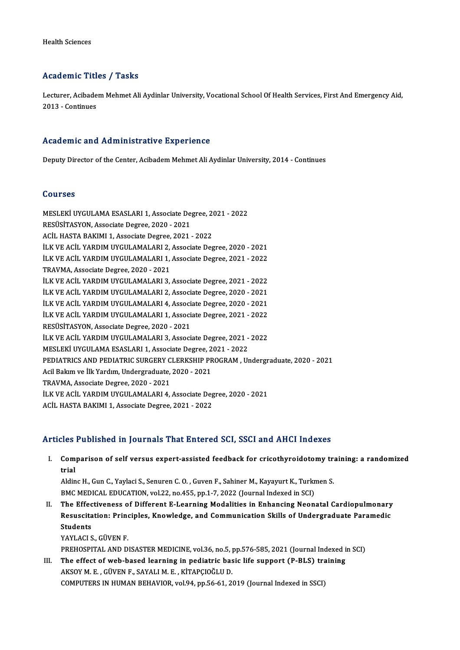## Academic Titles / Tasks

A**cademic Titles / Tasks**<br>Lecturer, Acibadem Mehmet Ali Aydinlar University, Vocational School Of Health Services, First And Emergency Aid,<br>2013 - Continues 11021111021111<br>Lecturer, Acibade<br>2013 - Continues

## 2013 - Continues<br>Academic and Administrative Experience

Deputy Director of the Center, Acibadem Mehmet Ali Aydinlar University, 2014 - Continues

### Courses

Courses<br>MESLEKİ UYGULAMA ESASLARI 1, Associate Degree, 2021 - 2022<br>RESÜSİTASYON, Associate Degree, 2020, 2021 SSATTES<br>MESLEKİ UYGULAMA ESASLARI 1, Associate De;<br>RESÜSİTASYON, Associate Degree, 2020 - 2021<br>ACU HASTA BAKIMI 1, Associate Degree, 2021 MESLEKİ UYGULAMA ESASLARI 1, Associate Degree, 20<br>RESÜSİTASYON, Associate Degree, 2020 - 2021<br>ACİL HASTA BAKIMI 1, Associate Degree, 2021 - 2022<br>İLK VE ACİL YARDIM UYGULAMALARL2, Associate Deg RESÜSİTASYON, Associate Degree, 2020 - 2021<br>ACİL HASTA BAKIMI 1, Associate Degree, 2021 - 2022<br>İLK VE ACİL YARDIM UYGULAMALARI 2, Associate Degree, 2020 - 2021 ACİL HASTA BAKIMI 1, Associate Degree, 2021 - 2022<br>İLK VE ACİL YARDIM UYGULAMALARI 2, Associate Degree, 2020 - 2021<br>İLK VE ACİL YARDIM UYGULAMALARI 1, Associate Degree, 2021 - 2022<br>TRAVMA, Associate Degree, 2020, 2021 İLK VE ACİL YARDIM UYGULAMALARI 2,<br>İLK VE ACİL YARDIM UYGULAMALARI 1,<br>TRAVMA, Associate Degree, 2020 - 2021<br>İLK VE ACİL YARDIM UYCULAMALARI 2 İLK VE ACİL YARDIM UYGULAMALARI 1, Associate Degree, 2021 - 2022<br>TRAVMA, Associate Degree, 2020 - 2021<br>İLK VE ACİL YARDIM UYGULAMALARI 3, Associate Degree, 2021 - 2022<br>İLK VE ACİL YARDIM UYGULAMALARI 3, Associate Degree, 2 TRAVMA, Associate Degree, 2020 - 2021<br>İLK VE ACİL YARDIM UYGULAMALARI 3, Associate Degree, 2021 - 2022<br>İLK VE ACİL YARDIM UYGULAMALARI 2, Associate Degree, 2020 - 2021<br>İLK VE ACİL YARDIM UYGULAMALARI 4, Associate Degree, 2 İLK VE ACİL YARDIM UYGULAMALARI 3, Associate Degree, 2021 - 2022<br>İLK VE ACİL YARDIM UYGULAMALARI 2, Associate Degree, 2020 - 2021<br>İLK VE ACİL YARDIM UYGULAMALARI 4, Associate Degree, 2020 - 2021<br>İLK VE ACİL YARDIM UYGULAMA İLK VE ACİL YARDIM UYGULAMALARI 2, Associate Degree, 2020 - 2021<br>İLK VE ACİL YARDIM UYGULAMALARI 4, Associate Degree, 2020 - 2021<br>İLK VE ACİL YARDIM UYGULAMALARI 1, Associate Degree, 2021 - 2022<br>PESÜSİTASYON, Associate Deg İLK VE ACİL YARDIM UYGULAMALARI 4, Associ<br>İLK VE ACİL YARDIM UYGULAMALARI 1, Associ<br>RESÜSİTASYON, Associate Degree, 2020 - 2021<br>İLK VE ACİL YARDIM UYCULAMALARI 2, Associ İLK VE ACİL YARDIM UYGULAMALARI 1, Associate Degree, 2021 - 2022<br>RESÜSİTASYON, Associate Degree, 2020 - 2021<br>İLK VE ACİL YARDIM UYGULAMALARI 3, Associate Degree, 2021 - 2022<br>MESLEKİ UYGULAMA ESASLARL1, Associate Degree, 20 RESÜSİTASYON, Associate Degree, 2020 - 2021<br>İLK VE ACİL YARDIM UYGULAMALARI 3, Associate Degree, 2021 - 2022<br>MESLEKİ UYGULAMA ESASLARI 1, Associate Degree, 2021 - 2022 iLK VE ACİL YARDIM UYGULAMALARI 3, Associate Degree, 2021 - 2022<br>MESLEKİ UYGULAMA ESASLARI 1, Associate Degree, 2021 - 2022<br>PEDIATRICS AND PEDIATRIC SURGERY CLERKSHIP PROGRAM , Undergraduate, 2020 - 2021<br>Asil Balum ve <sup>ill</sup> MESLEKİ UYGULAMA ESASLARI 1, Associate Degree, 2<br>PEDIATRICS AND PEDIATRIC SURGERY CLERKSHIP PR<br>Acil Bakım ve İlk Yardım, Undergraduate, 2020 - 2021<br>TRAVMA, Associate Degree, 2020, 2021 PEDIATRICS AND PEDIATRIC SURGERY C<br>Acil Bakım ve İlk Yardım, Undergraduate,<br>TRAVMA, Associate Degree, 2020 - 2021<br>İLK VE ACİL YARDIM UYCULAMALARLA Acil Bakım ve İlk Yardım, Undergraduate, 2020 - 2021<br>TRAVMA, Associate Degree, 2020 - 2021<br>İLK VE ACİL YARDIM UYGULAMALARI 4, Associate Degree, 2020 - 2021<br>ACİL HASTA RAKIMI 1. Associate Degree, 2021 - 2022 TRAVMA, Associate Degree, 2020 - 2021<br>İLK VE ACİL YARDIM UYGULAMALARI 4, Associate Deg<br>ACİL HASTA BAKIMI 1, Associate Degree, 2021 - 2022 ACIL HASTA BAKIMI 1, Associate Degree, 2021 - 2022<br>Articles Published in Journals That Entered SCI, SSCI and AHCI Indexes

rticles Published in Journals That Entered SCI, SSCI and AHCI Indexes<br>I. Comparison of self versus expert-assisted feedback for cricothyroidotomy training: a randomized<br>trial nes<br>Compo<br>trial<br>Aldin Comparison of self versus expert-assisted feedback for cricothyroidotomy tra<br>trial<br>Aldinc H., Gun C., Yaylaci S., Senuren C. O. , Guven F., Sahiner M., Kayayurt K., Turkmen S.<br>PMC MEDICAL EDUCATION wal 22, no 455, nn 1,7,

trial<br>Aldinc H., Gun C., Yaylaci S., Senuren C. O. , Guven F., Sahiner M., Kayayurt K., Turkmen S.<br>BMC MEDICAL EDUCATION, vol.22, no.455, pp.1-7, 2022 (Journal Indexed in SCI) Aldinc H., Gun C., Yaylaci S., Senuren C. O., Guven F., Sahiner M., Kayayurt K., Turkmen S.<br>BMC MEDICAL EDUCATION, vol.22, no.455, pp.1-7, 2022 (Journal Indexed in SCI)<br>II. The Effectiveness of Different E-Learning Modalit

BMC MEDICAL EDUCATION, vol.22, no.455, pp.1-7, 2022 (Journal Indexed in SCI)<br>The Effectiveness of Different E-Learning Modalities in Enhancing Neonatal Cardiopulmonary<br>Resuscitation: Principles, Knowledge, and Communicatio The Effec<br>Resuscita<br>Students<br>VAVI ACI S Resuscitation: Principles, Knowledge, and Communication Skills of Undergraduate Paramedic<br>Students<br>YAYLACI S., GÜVEN F. Students<br>YAYLACI S., GÜVEN F.<br>PREHOSPITAL AND DISASTER MEDICINE, vol.36, no.5, pp.576-585, 2021 (Journal Indexed in SCI)<br>The effect of web based learning in nedigtric besis life support (R BLS) training.

YAYLACI S., GÜVEN F.<br>PREHOSPITAL AND DISASTER MEDICINE, vol.36, no.5, pp.576-585, 2021 (Journal Indexed in<br>III. The effect of web-based learning in pediatric basic life support (P-BLS) training PREHOSPITAL AND DISASTER MEDICINE, vol.36, no.5, <sub>1</sub><br>The effect of web-based learning in pediatric bas<br>AKSOY M. E. , GÜVEN F., SAYALI M. E. , KİTAPÇIOĞLU D.<br>COMPUTERS IN HUMAN REHAVIOR vol.94, np.56,61, 24 III. The effect of web-based learning in pediatric basic life support (P-BLS) training<br>AKSOY M. E., GÜVEN F., SAYALI M. E., KİTAPÇIOĞLU D.<br>COMPUTERS IN HUMAN BEHAVIOR, vol.94, pp.56-61, 2019 (Journal Indexed in SSCI)